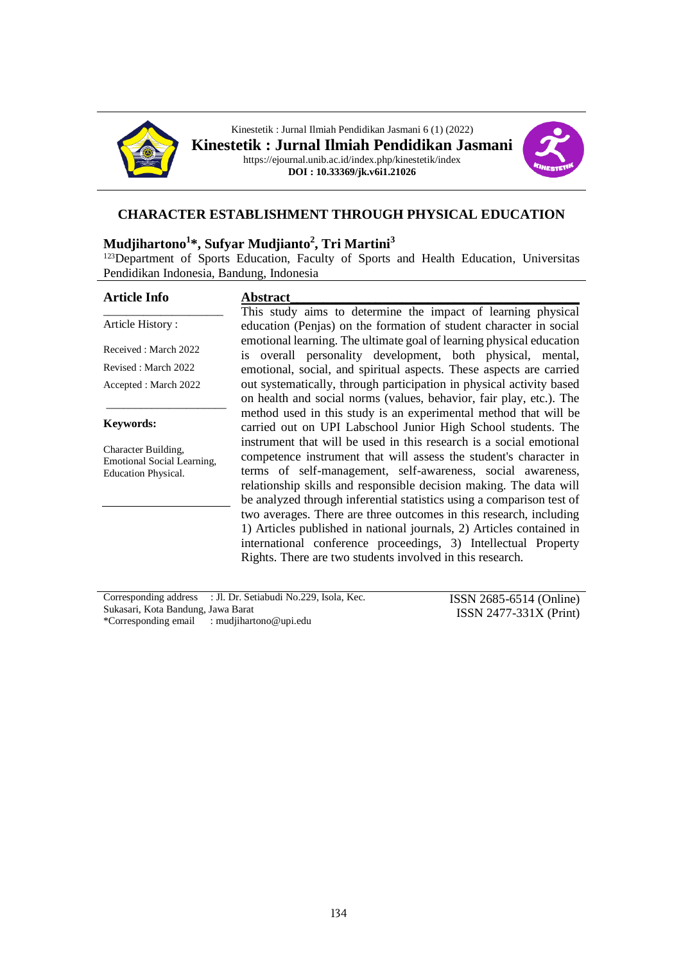



#### **CHARACTER ESTABLISHMENT THROUGH PHYSICAL EDUCATION**

#### **Mudjihartono<sup>1</sup> \*, Sufyar Mudjianto<sup>2</sup> , Tri Martini<sup>3</sup>**

<sup>123</sup>Department of Sports Education, Faculty of Sports and Health Education, Universitas Pendidikan Indonesia, Bandung, Indonesia

#### **Article Info** \_\_\_\_\_\_\_\_\_\_\_\_\_\_\_\_\_\_\_\_\_ Article History : Received : March 2022 Revised : March 2022 Accepted : March 2022 \_\_\_\_\_\_\_\_\_\_\_\_\_\_\_\_\_\_\_\_\_ **Abstract\_\_\_\_\_\_\_\_\_\_\_\_\_\_\_\_\_\_\_\_\_\_\_\_\_\_\_\_\_\_\_\_\_\_\_\_\_\_\_\_\_\_\_\_**

#### **Keywords:**

Character Building, Emotional Social Learning, Education Physical.

This study aims to determine the impact of learning physical education (Penjas) on the formation of student character in social emotional learning. The ultimate goal of learning physical education is overall personality development, both physical, mental, emotional, social, and spiritual aspects. These aspects are carried out systematically, through participation in physical activity based on health and social norms (values, behavior, fair play, etc.). The method used in this study is an experimental method that will be carried out on UPI Labschool Junior High School students. The instrument that will be used in this research is a social emotional competence instrument that will assess the student's character in terms of self-management, self-awareness, social awareness, relationship skills and responsible decision making. The data will be analyzed through inferential statistics using a comparison test of two averages. There are three outcomes in this research, including 1) Articles published in national journals, 2) Articles contained in international conference proceedings, 3) Intellectual Property Rights. There are two students involved in this research.

| Corresponding address : Jl. Dr. Setiabudi No.229, Isola, Kec. | $ISSN 2685-6514 (Online)$ |
|---------------------------------------------------------------|---------------------------|
| Sukasari, Kota Bandung, Jawa Barat                            | $ISSN 2477-331X (Print)$  |
| *Corresponding email : mudjihartono@upi.edu                   |                           |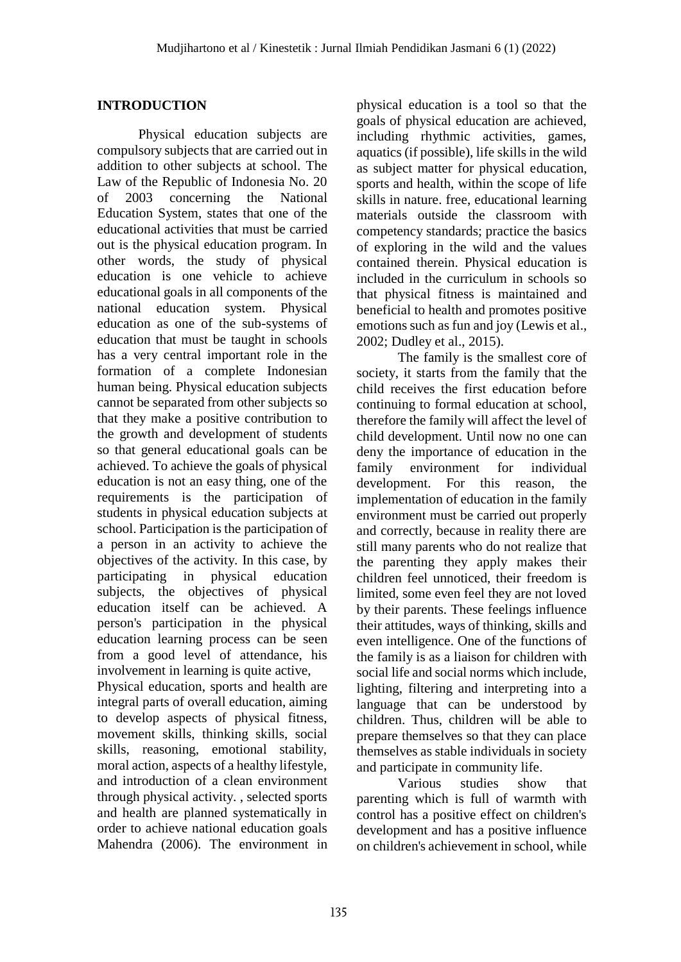### **INTRODUCTION**

Physical education subjects are compulsory subjects that are carried out in addition to other subjects at school. The Law of the Republic of Indonesia No. 20 of 2003 concerning the National Education System, states that one of the educational activities that must be carried out is the physical education program. In other words, the study of physical education is one vehicle to achieve educational goals in all components of the national education system. Physical education as one of the sub-systems of education that must be taught in schools has a very central important role in the formation of a complete Indonesian human being. Physical education subjects cannot be separated from other subjects so that they make a positive contribution to the growth and development of students so that general educational goals can be achieved. To achieve the goals of physical education is not an easy thing, one of the requirements is the participation of students in physical education subjects at school. Participation is the participation of a person in an activity to achieve the objectives of the activity. In this case, by participating in physical education subjects, the objectives of physical education itself can be achieved. A person's participation in the physical education learning process can be seen from a good level of attendance, his involvement in learning is quite active,

Physical education, sports and health are integral parts of overall education, aiming to develop aspects of physical fitness, movement skills, thinking skills, social skills, reasoning, emotional stability, moral action, aspects of a healthy lifestyle, and introduction of a clean environment through physical activity. , selected sports and health are planned systematically in order to achieve national education goals Mahendra (2006). The environment in physical education is a tool so that the goals of physical education are achieved, including rhythmic activities, games, aquatics (if possible), life skills in the wild as subject matter for physical education, sports and health, within the scope of life skills in nature. free, educational learning materials outside the classroom with competency standards; practice the basics of exploring in the wild and the values contained therein. Physical education is included in the curriculum in schools so that physical fitness is maintained and beneficial to health and promotes positive emotions such as fun and joy (Lewis et al., 2002; Dudley et al., 2015).

The family is the smallest core of society, it starts from the family that the child receives the first education before continuing to formal education at school, therefore the family will affect the level of child development. Until now no one can deny the importance of education in the family environment for individual development. For this reason, the implementation of education in the family environment must be carried out properly and correctly, because in reality there are still many parents who do not realize that the parenting they apply makes their children feel unnoticed, their freedom is limited, some even feel they are not loved by their parents. These feelings influence their attitudes, ways of thinking, skills and even intelligence. One of the functions of the family is as a liaison for children with social life and social norms which include, lighting, filtering and interpreting into a language that can be understood by children. Thus, children will be able to prepare themselves so that they can place themselves as stable individuals in society and participate in community life.

Various studies show that parenting which is full of warmth with control has a positive effect on children's development and has a positive influence on children's achievement in school, while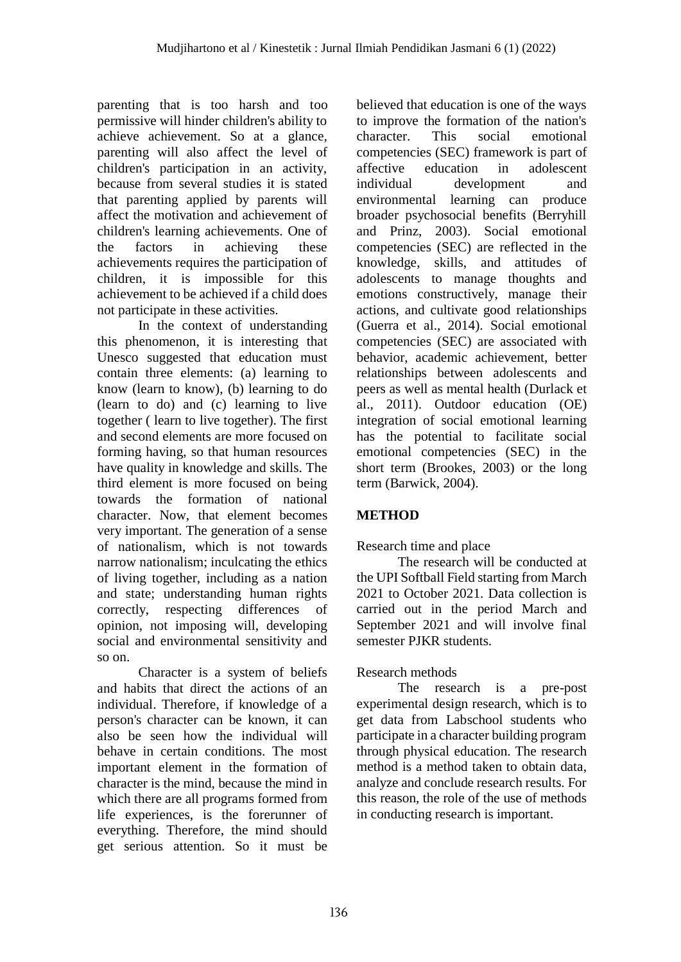parenting that is too harsh and too permissive will hinder children's ability to achieve achievement. So at a glance, parenting will also affect the level of children's participation in an activity, because from several studies it is stated that parenting applied by parents will affect the motivation and achievement of children's learning achievements. One of the factors in achieving these achievements requires the participation of children, it is impossible for this achievement to be achieved if a child does not participate in these activities.

In the context of understanding this phenomenon, it is interesting that Unesco suggested that education must contain three elements: (a) learning to know (learn to know), (b) learning to do (learn to do) and (c) learning to live together ( learn to live together). The first and second elements are more focused on forming having, so that human resources have quality in knowledge and skills. The third element is more focused on being towards the formation of national character. Now, that element becomes very important. The generation of a sense of nationalism, which is not towards narrow nationalism; inculcating the ethics of living together, including as a nation and state; understanding human rights correctly, respecting differences of opinion, not imposing will, developing social and environmental sensitivity and so on.

Character is a system of beliefs and habits that direct the actions of an individual. Therefore, if knowledge of a person's character can be known, it can also be seen how the individual will behave in certain conditions. The most important element in the formation of character is the mind, because the mind in which there are all programs formed from life experiences, is the forerunner of everything. Therefore, the mind should get serious attention. So it must be

believed that education is one of the ways to improve the formation of the nation's character. This social emotional competencies (SEC) framework is part of affective education in adolescent individual development and environmental learning can produce broader psychosocial benefits (Berryhill and Prinz, 2003). Social emotional competencies (SEC) are reflected in the knowledge, skills, and attitudes of adolescents to manage thoughts and emotions constructively, manage their actions, and cultivate good relationships (Guerra et al., 2014). Social emotional competencies (SEC) are associated with behavior, academic achievement, better relationships between adolescents and peers as well as mental health (Durlack et al., 2011). Outdoor education (OE) integration of social emotional learning has the potential to facilitate social emotional competencies (SEC) in the short term (Brookes, 2003) or the long term (Barwick, 2004).

# **METHOD**

# Research time and place

The research will be conducted at the UPI Softball Field starting from March 2021 to October 2021. Data collection is carried out in the period March and September 2021 and will involve final semester PJKR students.

# Research methods

The research is a pre-post experimental design research, which is to get data from Labschool students who participate in a character building program through physical education. The research method is a method taken to obtain data, analyze and conclude research results. For this reason, the role of the use of methods in conducting research is important.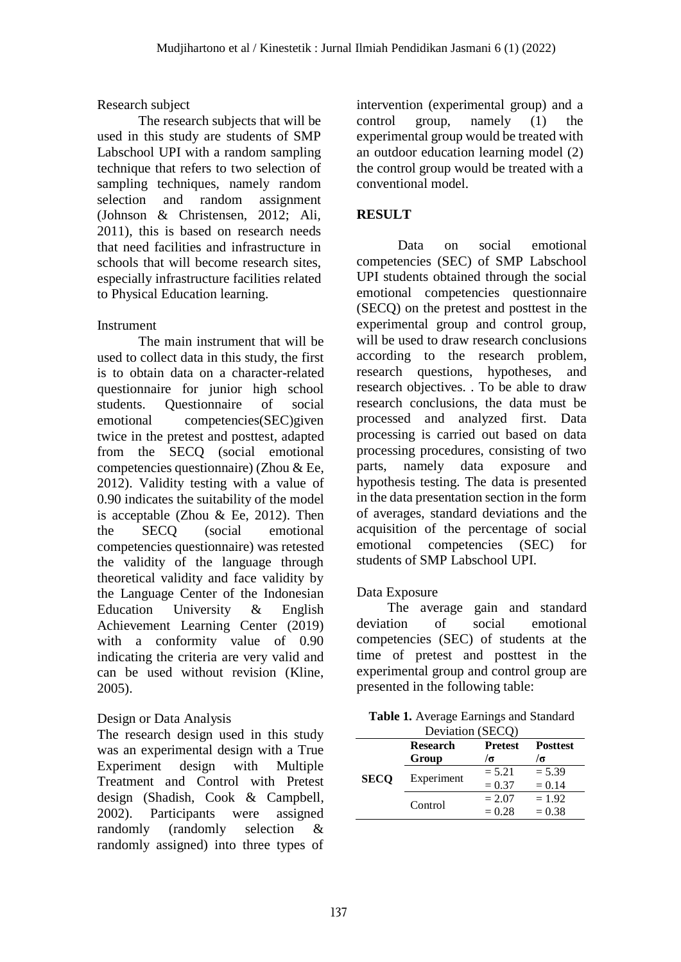### Research subject

The research subjects that will be used in this study are students of SMP Labschool UPI with a random sampling technique that refers to two selection of sampling techniques, namely random selection and random assignment (Johnson & Christensen, 2012; Ali, 2011), this is based on research needs that need facilities and infrastructure in schools that will become research sites, especially infrastructure facilities related to Physical Education learning.

### Instrument

The main instrument that will be used to collect data in this study, the first is to obtain data on a character-related questionnaire for junior high school students. Questionnaire of social emotional competencies(SEC)given twice in the pretest and posttest, adapted from the SECQ (social emotional competencies questionnaire) (Zhou & Ee, 2012). Validity testing with a value of 0.90 indicates the suitability of the model is acceptable (Zhou  $\&$  Ee, 2012). Then the SECQ (social emotional competencies questionnaire) was retested the validity of the language through theoretical validity and face validity by the Language Center of the Indonesian Education University & English Achievement Learning Center (2019) with a conformity value of 0.90 indicating the criteria are very valid and can be used without revision (Kline, 2005).

### Design or Data Analysis

The research design used in this study was an experimental design with a True Experiment design with Multiple Treatment and Control with Pretest design (Shadish, Cook & Campbell, 2002). Participants were assigned randomly (randomly selection & randomly assigned) into three types of intervention (experimental group) and a control group, namely (1) the experimental group would be treated with an outdoor education learning model (2) the control group would be treated with a conventional model.

### **RESULT**

Data on social emotional competencies (SEC) of SMP Labschool UPI students obtained through the social emotional competencies questionnaire (SECQ) on the pretest and posttest in the experimental group and control group, will be used to draw research conclusions according to the research problem, research questions, hypotheses, and research objectives. . To be able to draw research conclusions, the data must be processed and analyzed first. Data processing is carried out based on data processing procedures, consisting of two parts, namely data exposure and hypothesis testing. The data is presented in the data presentation section in the form of averages, standard deviations and the acquisition of the percentage of social emotional competencies (SEC) for students of SMP Labschool UPI.

### Data Exposure

The average gain and standard deviation of social emotional competencies (SEC) of students at the time of pretest and posttest in the experimental group and control group are presented in the following table:

| <b>Table 1.</b> Average Earnings and Standard |
|-----------------------------------------------|
| Deviation $(SECO)$                            |

| Deviation (SECQ)                                     |            |            |          |  |
|------------------------------------------------------|------------|------------|----------|--|
| <b>Research</b><br><b>Pretest</b><br><b>Posttest</b> |            |            |          |  |
|                                                      | Group      | $\sqrt{a}$ | /σ       |  |
| <b>SECO</b>                                          |            | $= 5.21$   | $= 5.39$ |  |
|                                                      | Experiment | $= 0.37$   | $= 0.14$ |  |
|                                                      |            | $= 2.07$   | $= 1.92$ |  |
|                                                      | Control    | $= 0.28$   | $= 0.38$ |  |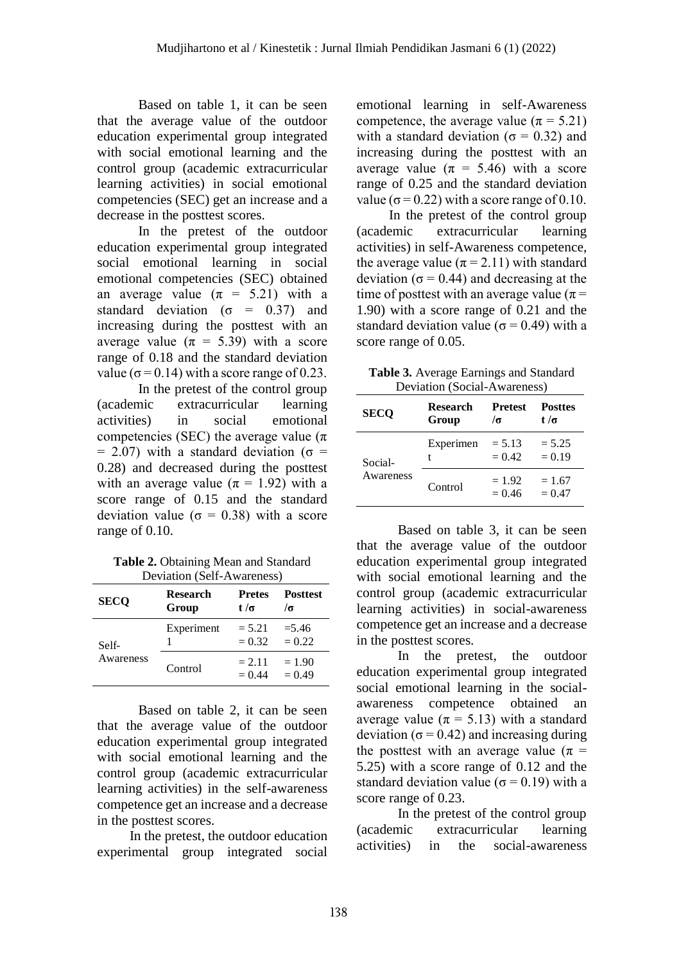Based on table 1, it can be seen that the average value of the outdoor education experimental group integrated with social emotional learning and the control group (academic extracurricular learning activities) in social emotional competencies (SEC) get an increase and a decrease in the posttest scores.

In the pretest of the outdoor education experimental group integrated social emotional learning in social emotional competencies (SEC) obtained an average value  $(\pi = 5.21)$  with a standard deviation ( $\sigma = 0.37$ ) and increasing during the posttest with an average value ( $\pi = 5.39$ ) with a score range of 0.18 and the standard deviation value ( $\sigma$  = 0.14) with a score range of 0.23.

In the pretest of the control group (academic extracurricular learning activities) in social emotional competencies (SEC) the average value ( $\pi$ )  $= 2.07$ ) with a standard deviation ( $\sigma =$ 0.28) and decreased during the posttest with an average value ( $\pi$  = 1.92) with a score range of 0.15 and the standard deviation value ( $\sigma = 0.38$ ) with a score range of 0.10.

**Table 2.** Obtaining Mean and Standard Deviation (Self-Awareness)

| <b>SECQ</b> | <b>Research</b><br>Group | <b>Pretes</b><br>t/σ | <b>Posttest</b><br>$\sqrt{a}$ |
|-------------|--------------------------|----------------------|-------------------------------|
| Self-       | Experiment               | $= 5.21$<br>$= 0.32$ | $=$ 5.46<br>$= 0.22$          |
| Awareness   | Control                  | $= 2.11$<br>$= 0.44$ | $= 1.90$<br>$= 0.49$          |

Based on table 2, it can be seen that the average value of the outdoor education experimental group integrated with social emotional learning and the control group (academic extracurricular learning activities) in the self-awareness competence get an increase and a decrease in the posttest scores.

In the pretest, the outdoor education experimental group integrated social emotional learning in self-Awareness competence, the average value ( $\pi$  = 5.21) with a standard deviation ( $\sigma = 0.32$ ) and increasing during the posttest with an average value ( $\pi = 5.46$ ) with a score range of 0.25 and the standard deviation value ( $\sigma$  = 0.22) with a score range of 0.10.

In the pretest of the control group (academic extracurricular learning activities) in self-Awareness competence, the average value ( $\pi$  = 2.11) with standard deviation ( $\sigma$  = 0.44) and decreasing at the time of posttest with an average value ( $\pi$  = 1.90) with a score range of 0.21 and the standard deviation value ( $\sigma$  = 0.49) with a score range of 0.05.

| <b>Table 3.</b> Average Earnings and Standard |
|-----------------------------------------------|
| Deviation (Social-Awareness)                  |

| <b>SECO</b>          | <b>Research</b><br>Group | <b>Pretest</b><br>$\sqrt{2}$ | <b>Posttes</b><br>t/σ |
|----------------------|--------------------------|------------------------------|-----------------------|
| Social-<br>Awareness | Experimen<br>t           | $= 5.13$<br>$= 0.42$         | $= 5.25$<br>$= 0.19$  |
|                      | Control                  | $= 1.92$<br>$= 0.46$         | $= 1.67$<br>$= 0.47$  |

Based on table 3, it can be seen that the average value of the outdoor education experimental group integrated with social emotional learning and the control group (academic extracurricular learning activities) in social-awareness competence get an increase and a decrease in the posttest scores.

In the pretest, the outdoor education experimental group integrated social emotional learning in the socialawareness competence obtained an average value ( $\pi$  = 5.13) with a standard deviation ( $\sigma$  = 0.42) and increasing during the posttest with an average value  $(\pi =$ 5.25) with a score range of 0.12 and the standard deviation value ( $\sigma$  = 0.19) with a score range of 0.23.

In the pretest of the control group (academic extracurricular learning activities) in the social-awareness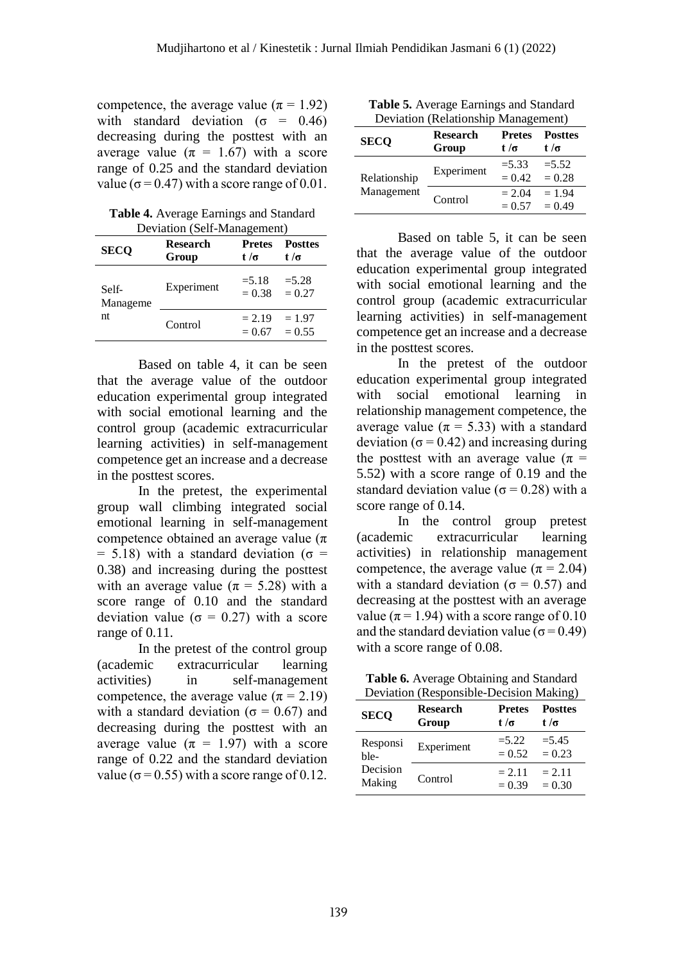competence, the average value ( $\pi$  = 1.92) with standard deviation ( $\sigma = 0.46$ ) decreasing during the posttest with an average value ( $\pi = 1.67$ ) with a score range of 0.25 and the standard deviation value ( $\sigma$  = 0.47) with a score range of 0.01.

**Table 4.** Average Earnings and Standard  $D$ eviation (Self-Management)

| <b>SECO</b>             | <b>Research</b><br>Group | <b>Pretes</b><br>t /σ | <b>Posttes</b><br>t /σ |
|-------------------------|--------------------------|-----------------------|------------------------|
| Self-<br>Manageme<br>nt | Experiment               | $= 5.18$<br>$= 0.38$  | $= 5.28$<br>$= 0.27$   |
|                         | Control                  | $= 2.19$<br>$= 0.67$  | $= 1.97$<br>$= 0.55$   |

Based on table 4, it can be seen that the average value of the outdoor education experimental group integrated with social emotional learning and the control group (academic extracurricular learning activities) in self-management competence get an increase and a decrease in the posttest scores.

In the pretest, the experimental group wall climbing integrated social emotional learning in self-management competence obtained an average value  $(\pi)$ = 5.18) with a standard deviation ( $\sigma$  = 0.38) and increasing during the posttest with an average value ( $\pi$  = 5.28) with a score range of 0.10 and the standard deviation value ( $\sigma = 0.27$ ) with a score range of 0.11.

In the pretest of the control group (academic extracurricular learning activities) in self-management competence, the average value ( $\pi$  = 2.19) with a standard deviation ( $\sigma = 0.67$ ) and decreasing during the posttest with an average value ( $\pi = 1.97$ ) with a score range of 0.22 and the standard deviation value ( $\sigma$  = 0.55) with a score range of 0.12.

**Table 5.** Average Earnings and Standard Deviation (Relationship Management)

| <b>SECO</b>  | Deviation (Relationship Management)<br><b>Research</b><br>Group | <b>Pretes</b><br>t /σ | <b>Posttes</b><br>t/σ |
|--------------|-----------------------------------------------------------------|-----------------------|-----------------------|
| Relationship | Experiment                                                      | $= 5.33$<br>$= 0.42$  | $= 5.52$<br>$= 0.28$  |
| Management   | Control                                                         | $= 2.04$<br>$= 0.57$  | $= 1.94$<br>$= 0.49$  |

Based on table 5, it can be seen that the average value of the outdoor education experimental group integrated with social emotional learning and the control group (academic extracurricular learning activities) in self-management competence get an increase and a decrease in the posttest scores.

In the pretest of the outdoor education experimental group integrated with social emotional learning in relationship management competence, the average value ( $\pi$  = 5.33) with a standard deviation ( $\sigma$  = 0.42) and increasing during the posttest with an average value ( $\pi$  = 5.52) with a score range of 0.19 and the standard deviation value ( $\sigma$  = 0.28) with a score range of 0.14.

In the control group pretest (academic extracurricular learning activities) in relationship management competence, the average value ( $\pi$  = 2.04) with a standard deviation ( $\sigma = 0.57$ ) and decreasing at the posttest with an average value ( $\pi$  = 1.94) with a score range of 0.10 and the standard deviation value ( $\sigma$  = 0.49) with a score range of 0.08.

| <b>Table 6.</b> Average Obtaining and Standard |  |
|------------------------------------------------|--|
| Deviation (Responsible-Decision Making)        |  |

| <b>SECO</b> | <b>Research</b> | <b>Pretes</b> | <b>Posttes</b> |
|-------------|-----------------|---------------|----------------|
|             | Group           | t /σ          | t/σ            |
| Responsi    | Experiment      | $= 5.22$      | $= 5.45$       |
| ble-        |                 | $= 0.52$      | $= 0.23$       |
| Decision    | Control         | $= 2.11$      | $= 2.11$       |
| Making      |                 | $= 0.39$      | $= 0.30$       |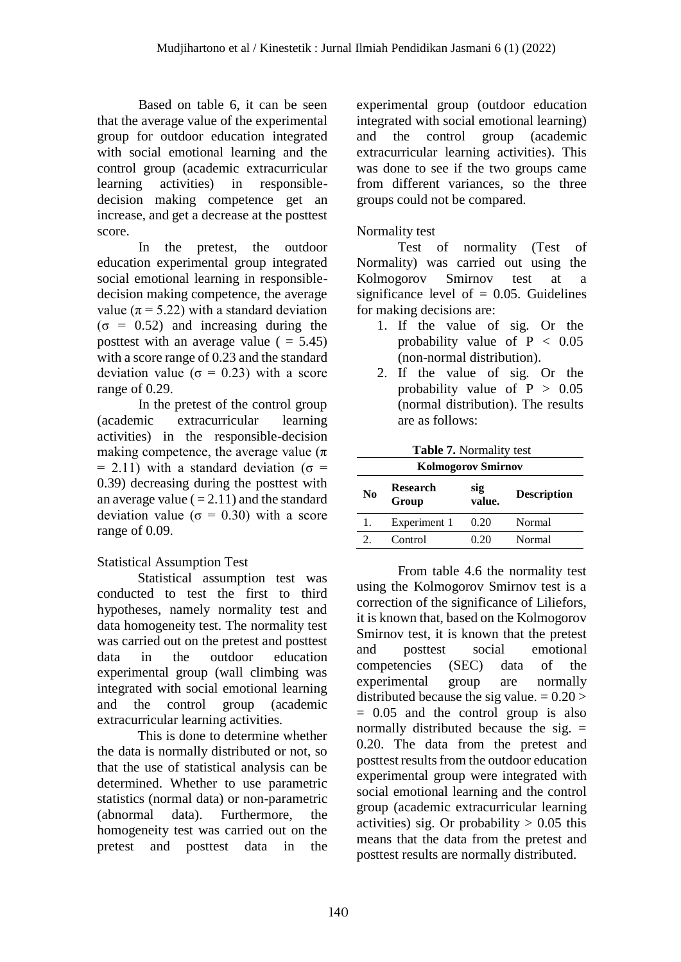Based on table 6, it can be seen that the average value of the experimental group for outdoor education integrated with social emotional learning and the control group (academic extracurricular learning activities) in responsibledecision making competence get an increase, and get a decrease at the posttest score.

In the pretest, the outdoor education experimental group integrated social emotional learning in responsibledecision making competence, the average value ( $\pi$  = 5.22) with a standard deviation  $(\sigma = 0.52)$  and increasing during the posttest with an average value  $( = 5.45)$ with a score range of 0.23 and the standard deviation value ( $\sigma = 0.23$ ) with a score range of 0.29.

In the pretest of the control group (academic extracurricular learning activities) in the responsible-decision making competence, the average value ( $\pi$ )  $= 2.11$ ) with a standard deviation ( $\sigma =$ 0.39) decreasing during the posttest with an average value  $(=2.11)$  and the standard deviation value ( $\sigma = 0.30$ ) with a score range of 0.09.

# Statistical Assumption Test

Statistical assumption test was conducted to test the first to third hypotheses, namely normality test and data homogeneity test. The normality test was carried out on the pretest and posttest data in the outdoor education experimental group (wall climbing was integrated with social emotional learning and the control group (academic extracurricular learning activities.

This is done to determine whether the data is normally distributed or not, so that the use of statistical analysis can be determined. Whether to use parametric statistics (normal data) or non-parametric (abnormal data). Furthermore, the homogeneity test was carried out on the pretest and posttest data in the experimental group (outdoor education integrated with social emotional learning) and the control group (academic extracurricular learning activities). This was done to see if the two groups came from different variances, so the three groups could not be compared.

### Normality test

Test of normality (Test of Normality) was carried out using the Kolmogorov Smirnov test at a significance level of  $= 0.05$ . Guidelines for making decisions are:

- 1. If the value of sig. Or the probability value of  $P < 0.05$ (non-normal distribution).
- 2. If the value of sig. Or the probability value of  $P > 0.05$ (normal distribution). The results are as follows:

| <b>Table 7.</b> Normality test                              |              |                    |        |  |
|-------------------------------------------------------------|--------------|--------------------|--------|--|
| <b>Kolmogorov Smirnov</b>                                   |              |                    |        |  |
| <b>Research</b><br>sig<br>N <sub>0</sub><br>value.<br>Group |              | <b>Description</b> |        |  |
| 1.                                                          | Experiment 1 | 0.20               | Normal |  |
|                                                             | Control      | 0.20               | Normal |  |

From table 4.6 the normality test using the Kolmogorov Smirnov test is a correction of the significance of Liliefors, it is known that, based on the Kolmogorov Smirnov test, it is known that the pretest and posttest social emotional competencies (SEC) data of the experimental group are normally distributed because the sig value.  $= 0.20$  > = 0.05 and the control group is also normally distributed because the sig.  $=$ 0.20. The data from the pretest and posttest results from the outdoor education experimental group were integrated with social emotional learning and the control group (academic extracurricular learning activities) sig. Or probability  $> 0.05$  this means that the data from the pretest and posttest results are normally distributed.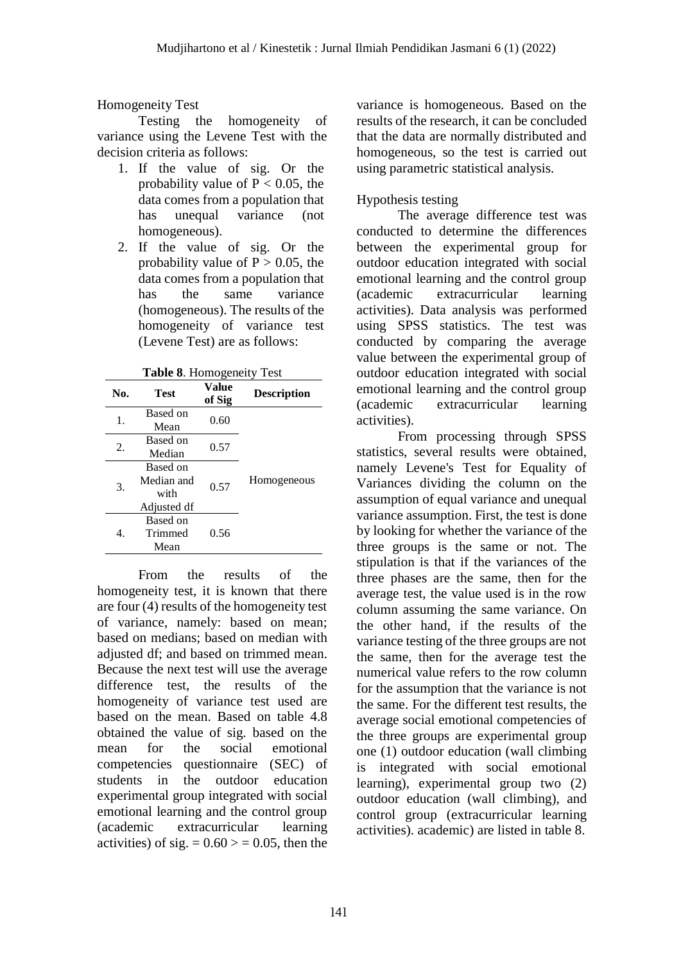### Homogeneity Test

Testing the homogeneity of variance using the Levene Test with the decision criteria as follows:

- 1. If the value of sig. Or the probability value of  $P < 0.05$ , the data comes from a population that has unequal variance (not homogeneous).
- 2. If the value of sig. Or the probability value of  $P > 0.05$ , the data comes from a population that has the same variance (homogeneous). The results of the homogeneity of variance test (Levene Test) are as follows:

| No. | <b>Test</b> | Value<br>of Sig | <b>Description</b> |
|-----|-------------|-----------------|--------------------|
| 1.  | Based on    | 0.60            | Homogeneous        |
|     | Mean        |                 |                    |
| 2.  | Based on    | 0.57            |                    |
|     | Median      |                 |                    |
| 3.  | Based on    | 0.57            |                    |
|     | Median and  |                 |                    |
|     | with        |                 |                    |
|     | Adjusted df |                 |                    |
| 4.  | Based on    | 0.56            |                    |
|     | Trimmed     |                 |                    |
|     | Mean        |                 |                    |

From the results of the homogeneity test, it is known that there are four (4) results of the homogeneity test of variance, namely: based on mean; based on medians; based on median with adjusted df; and based on trimmed mean. Because the next test will use the average difference test, the results of the homogeneity of variance test used are based on the mean. Based on table 4.8 obtained the value of sig. based on the mean for the social emotional competencies questionnaire (SEC) of students in the outdoor education experimental group integrated with social emotional learning and the control group (academic extracurricular learning activities) of sig.  $= 0.60 \ge 0.05$ , then the

variance is homogeneous. Based on the results of the research, it can be concluded that the data are normally distributed and homogeneous, so the test is carried out using parametric statistical analysis.

### Hypothesis testing

The average difference test was conducted to determine the differences between the experimental group for outdoor education integrated with social emotional learning and the control group (academic extracurricular learning activities). Data analysis was performed using SPSS statistics. The test was conducted by comparing the average value between the experimental group of outdoor education integrated with social emotional learning and the control group (academic extracurricular learning activities).

From processing through SPSS statistics, several results were obtained, namely Levene's Test for Equality of Variances dividing the column on the assumption of equal variance and unequal variance assumption. First, the test is done by looking for whether the variance of the three groups is the same or not. The stipulation is that if the variances of the three phases are the same, then for the average test, the value used is in the row column assuming the same variance. On the other hand, if the results of the variance testing of the three groups are not the same, then for the average test the numerical value refers to the row column for the assumption that the variance is not the same. For the different test results, the average social emotional competencies of the three groups are experimental group one (1) outdoor education (wall climbing is integrated with social emotional learning), experimental group two (2) outdoor education (wall climbing), and control group (extracurricular learning activities). academic) are listed in table 8.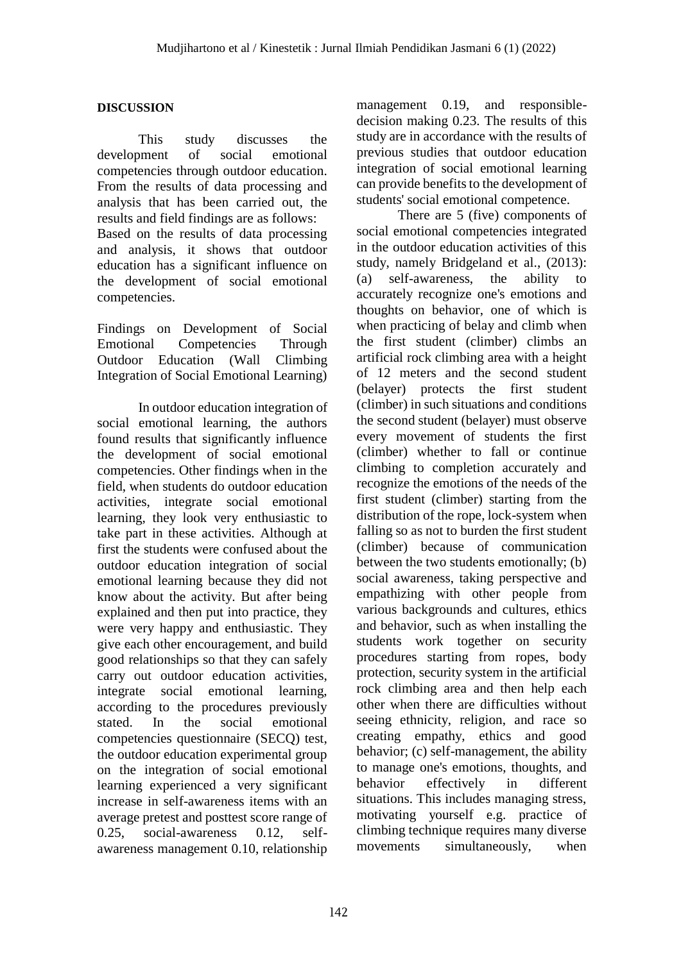#### **DISCUSSION**

This study discusses the development of social emotional competencies through outdoor education. From the results of data processing and analysis that has been carried out, the results and field findings are as follows: Based on the results of data processing and analysis, it shows that outdoor education has a significant influence on the development of social emotional competencies.

Findings on Development of Social Emotional Competencies Through Outdoor Education (Wall Climbing Integration of Social Emotional Learning)

In outdoor education integration of social emotional learning, the authors found results that significantly influence the development of social emotional competencies. Other findings when in the field, when students do outdoor education activities, integrate social emotional learning, they look very enthusiastic to take part in these activities. Although at first the students were confused about the outdoor education integration of social emotional learning because they did not know about the activity. But after being explained and then put into practice, they were very happy and enthusiastic. They give each other encouragement, and build good relationships so that they can safely carry out outdoor education activities, integrate social emotional learning, according to the procedures previously stated. In the social emotional competencies questionnaire (SECQ) test, the outdoor education experimental group on the integration of social emotional learning experienced a very significant increase in self-awareness items with an average pretest and posttest score range of 0.25, social-awareness 0.12, selfawareness management 0.10, relationship

management 0.19, and responsibledecision making 0.23. The results of this study are in accordance with the results of previous studies that outdoor education integration of social emotional learning can provide benefits to the development of students' social emotional competence.

There are 5 (five) components of social emotional competencies integrated in the outdoor education activities of this study, namely Bridgeland et al., (2013): (a) self-awareness, the ability to accurately recognize one's emotions and thoughts on behavior, one of which is when practicing of belay and climb when the first student (climber) climbs an artificial rock climbing area with a height of 12 meters and the second student (belayer) protects the first student (climber) in such situations and conditions the second student (belayer) must observe every movement of students the first (climber) whether to fall or continue climbing to completion accurately and recognize the emotions of the needs of the first student (climber) starting from the distribution of the rope, lock-system when falling so as not to burden the first student (climber) because of communication between the two students emotionally; (b) social awareness, taking perspective and empathizing with other people from various backgrounds and cultures, ethics and behavior, such as when installing the students work together on security procedures starting from ropes, body protection, security system in the artificial rock climbing area and then help each other when there are difficulties without seeing ethnicity, religion, and race so creating empathy, ethics and good behavior; (c) self-management, the ability to manage one's emotions, thoughts, and behavior effectively in different situations. This includes managing stress, motivating yourself e.g. practice of climbing technique requires many diverse movements simultaneously, when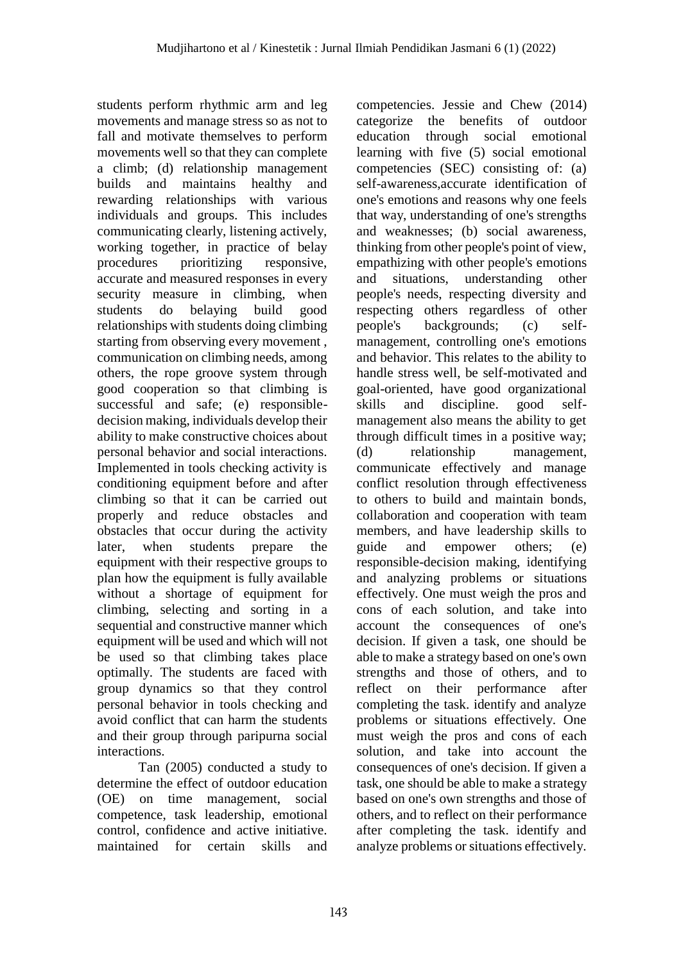students perform rhythmic arm and leg movements and manage stress so as not to fall and motivate themselves to perform movements well so that they can complete a climb; (d) relationship management builds and maintains healthy and rewarding relationships with various individuals and groups. This includes communicating clearly, listening actively, working together, in practice of belay procedures prioritizing responsive, accurate and measured responses in every security measure in climbing, when students do belaying build good relationships with students doing climbing starting from observing every movement , communication on climbing needs, among others, the rope groove system through good cooperation so that climbing is successful and safe; (e) responsibledecision making, individuals develop their ability to make constructive choices about personal behavior and social interactions. Implemented in tools checking activity is conditioning equipment before and after climbing so that it can be carried out properly and reduce obstacles and obstacles that occur during the activity later, when students prepare the equipment with their respective groups to plan how the equipment is fully available without a shortage of equipment for climbing, selecting and sorting in a sequential and constructive manner which equipment will be used and which will not be used so that climbing takes place optimally. The students are faced with group dynamics so that they control personal behavior in tools checking and avoid conflict that can harm the students and their group through paripurna social interactions.

Tan (2005) conducted a study to determine the effect of outdoor education (OE) on time management, social competence, task leadership, emotional control, confidence and active initiative. maintained for certain skills and

competencies. Jessie and Chew (2014) categorize the benefits of outdoor education through social emotional learning with five (5) social emotional competencies (SEC) consisting of: (a) self-awareness,accurate identification of one's emotions and reasons why one feels that way, understanding of one's strengths and weaknesses; (b) social awareness, thinking from other people's point of view, empathizing with other people's emotions and situations, understanding other people's needs, respecting diversity and respecting others regardless of other people's backgrounds; (c) selfmanagement, controlling one's emotions and behavior. This relates to the ability to handle stress well, be self-motivated and goal-oriented, have good organizational skills and discipline. good selfmanagement also means the ability to get through difficult times in a positive way; (d) relationship management, communicate effectively and manage conflict resolution through effectiveness to others to build and maintain bonds, collaboration and cooperation with team members, and have leadership skills to guide and empower others; (e) responsible-decision making, identifying and analyzing problems or situations effectively. One must weigh the pros and cons of each solution, and take into account the consequences of one's decision. If given a task, one should be able to make a strategy based on one's own strengths and those of others, and to reflect on their performance after completing the task. identify and analyze problems or situations effectively. One must weigh the pros and cons of each solution, and take into account the consequences of one's decision. If given a task, one should be able to make a strategy based on one's own strengths and those of others, and to reflect on their performance after completing the task. identify and analyze problems or situations effectively.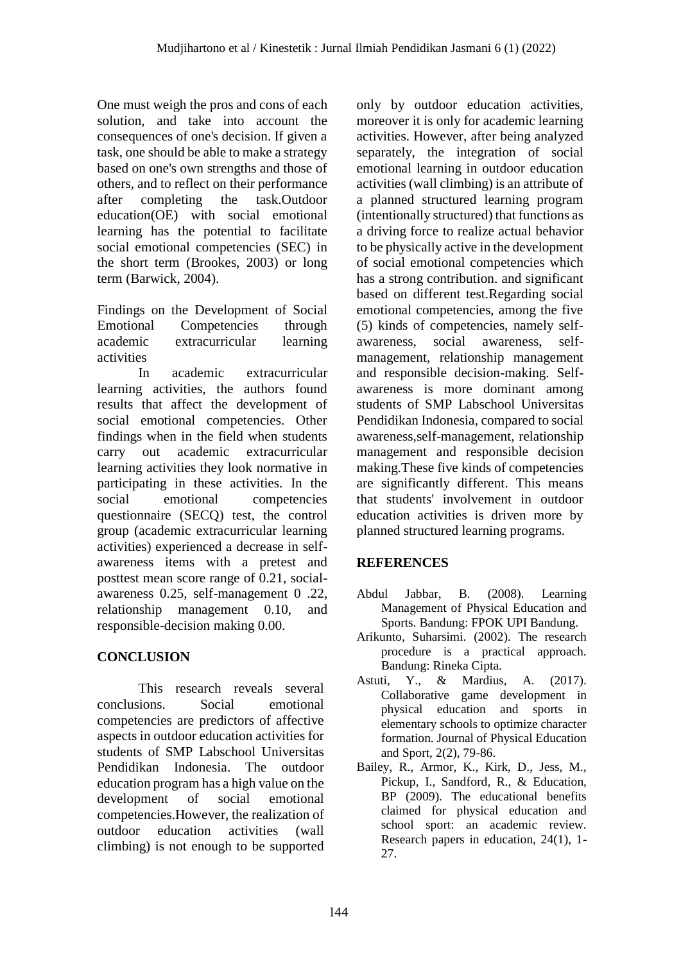One must weigh the pros and cons of each solution, and take into account the consequences of one's decision. If given a task, one should be able to make a strategy based on one's own strengths and those of others, and to reflect on their performance after completing the task.Outdoor education(OE) with social emotional learning has the potential to facilitate social emotional competencies (SEC) in the short term (Brookes, 2003) or long term (Barwick, 2004).

Findings on the Development of Social Emotional Competencies through academic extracurricular learning activities

In academic extracurricular learning activities, the authors found results that affect the development of social emotional competencies. Other findings when in the field when students carry out academic extracurricular learning activities they look normative in participating in these activities. In the social emotional competencies questionnaire (SECQ) test, the control group (academic extracurricular learning activities) experienced a decrease in selfawareness items with a pretest and posttest mean score range of 0.21, socialawareness 0.25, self-management 0 .22, relationship management 0.10, and responsible-decision making 0.00.

# **CONCLUSION**

This research reveals several conclusions. Social emotional competencies are predictors of affective aspects in outdoor education activities for students of SMP Labschool Universitas Pendidikan Indonesia. The outdoor education program has a high value on the development of social emotional competencies.However, the realization of outdoor education activities (wall climbing) is not enough to be supported only by outdoor education activities, moreover it is only for academic learning activities. However, after being analyzed separately, the integration of social emotional learning in outdoor education activities (wall climbing) is an attribute of a planned structured learning program (intentionally structured) that functions as a driving force to realize actual behavior to be physically active in the development of social emotional competencies which has a strong contribution. and significant based on different test.Regarding social emotional competencies, among the five (5) kinds of competencies, namely selfawareness, social awareness, selfmanagement, relationship management and responsible decision-making. Selfawareness is more dominant among students of SMP Labschool Universitas Pendidikan Indonesia, compared to social awareness,self-management, relationship management and responsible decision making.These five kinds of competencies are significantly different. This means that students' involvement in outdoor education activities is driven more by planned structured learning programs.

# **REFERENCES**

- Abdul Jabbar, B. (2008). Learning Management of Physical Education and Sports. Bandung: FPOK UPI Bandung.
- Arikunto, Suharsimi. (2002). The research procedure is a practical approach. Bandung: Rineka Cipta.
- Astuti, Y., & Mardius, A. (2017). Collaborative game development in physical education and sports in elementary schools to optimize character formation. Journal of Physical Education and Sport, 2(2), 79-86.
- Bailey, R., Armor, K., Kirk, D., Jess, M., Pickup, I., Sandford, R., & Education, BP (2009). The educational benefits claimed for physical education and school sport: an academic review. Research papers in education, 24(1), 1- 27.